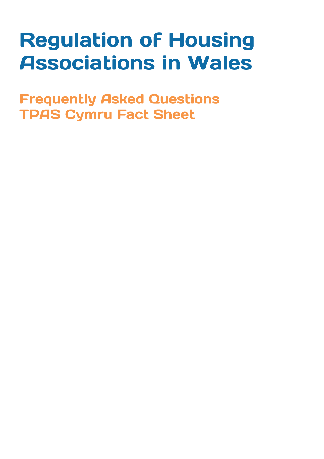# **Regulation of Housing Associations in Wales**

**Frequently Asked Questions TPAS Cymru Fact Sheet**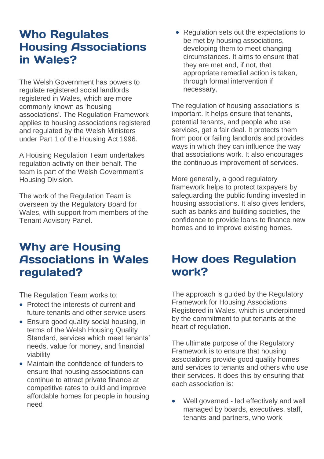#### **Who Regulates Housing Associations** in Wales?

The Welsh Government has powers to regulate registered social landlords registered in Wales, which are more commonly known as 'housing associations'. The Regulation Framework applies to housing associations registered and regulated by the Welsh Ministers under Part 1 of the Housing Act 1996.

A Housing Regulation Team undertakes regulation activity on their behalf. The team is part of the Welsh Government's Housing Division.

The work of the Regulation Team is overseen by the Regulatory Board for Wales, with support from members of the Tenant Advisory Panel.

#### **Why are Housing Associations in Wales** regulated?

The Regulation Team works to:

- Protect the interests of current and future tenants and other service users
- Ensure good quality social housing, in terms of the Welsh Housing Quality Standard, services which meet tenants' needs, value for money, and financial viability
- Maintain the confidence of funders to ensure that housing associations can continue to attract private finance at competitive rates to build and improve affordable homes for people in housing need

• Regulation sets out the expectations to be met by housing associations, developing them to meet changing circumstances. It aims to ensure that they are met and, if not, that appropriate remedial action is taken, through formal intervention if necessary.

The regulation of housing associations is important. It helps ensure that tenants, potential tenants, and people who use services, get a fair deal. It protects them from poor or failing landlords and provides ways in which they can influence the way that associations work. It also encourages the continuous improvement of services.

More generally, a good regulatory framework helps to protect taxpayers by safeguarding the public funding invested in housing associations. It also gives lenders, such as banks and building societies, the confidence to provide loans to finance new homes and to improve existing homes.

#### **How does Regulation** work?

The approach is guided by the [Regulatory](http://wales.gov.uk/topics/housing-and-regeneration/publications/regframeworkhousingassoc/?lang=en)  [Framework for Housing Associations](http://wales.gov.uk/topics/housing-and-regeneration/publications/regframeworkhousingassoc/?lang=en)  [Registered in Wales,](http://wales.gov.uk/topics/housing-and-regeneration/publications/regframeworkhousingassoc/?lang=en) which is underpinned by the commitment to put tenants at the heart of regulation.

The ultimate purpose of the Regulatory Framework is to ensure that housing associations provide good quality homes and services to tenants and others who use their services. It does this by ensuring that each association is:

 Well governed - led effectively and well managed by boards, executives, staff, tenants and partners, who work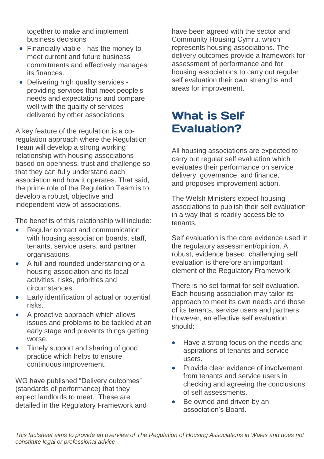together to make and implement business decisions

- Financially viable has the money to meet current and future business commitments and effectively manages its finances.
- Delivering high quality services providing services that meet people's needs and expectations and compare well with the quality of services delivered by other associations

A key feature of the regulation is a coregulation approach where the Regulation Team will develop a strong working relationship with housing associations based on openness, trust and challenge so that they can fully understand each association and how it operates. That said, the prime role of the Regulation Team is to develop a robust, objective and independent view of associations.

The benefits of this relationship will include:

- Regular contact and communication with housing association boards, staff, tenants, service users, and partner organisations.
- A full and rounded understanding of a housing association and its local activities, risks, priorities and circumstances.
- Early identification of actual or potential risks.
- A proactive approach which allows issues and problems to be tackled at an early stage and prevents things getting worse.
- Timely support and sharing of good practice which helps to ensure continuous improvement.

WG have published "Delivery outcomes" (standards of performance) that they expect landlords to meet. These are detailed in the Regulatory Framework and

have been agreed with the sector and Community Housing Cymru, which represents housing associations. The delivery outcomes provide a framework for assessment of performance and for housing associations to carry out regular self evaluation their own strengths and areas for improvement.

## **What is Self Evaluation?**

All housing associations are expected to carry out regular self evaluation which evaluates their performance on service delivery, governance, and finance, and proposes improvement action.

The Welsh Ministers expect housing associations to publish their self evaluation in a way that is readily accessible to tenants.

Self evaluation is the core evidence used in the regulatory assessment/opinion. A robust, evidence based, challenging self evaluation is therefore an important element of the Regulatory Framework.

There is no set format for self evaluation. Each housing association may tailor its approach to meet its own needs and those of its tenants, service users and partners. However, an effective self evaluation should:

- Have a strong focus on the needs and aspirations of tenants and service users.
- Provide clear evidence of involvement from tenants and service users in checking and agreeing the conclusions of self assessments.
- Be owned and driven by an association's Board.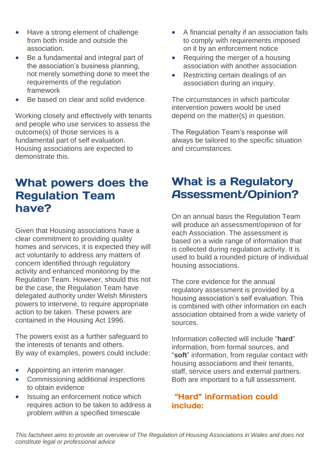- Have a strong element of challenge from both inside and outside the association.
- Be a fundamental and integral part of the association's business planning, not merely something done to meet the requirements of the regulation framework
- Be based on clear and solid evidence.

Working closely and effectively with tenants and people who use services to assess the outcome(s) of those services is a fundamental part of self evaluation. Housing associations are expected to demonstrate this.

### What powers does the **Regulation Team** have?

Given that Housing associations have a clear commitment to providing quality homes and services, it is expected they will act voluntarily to address any matters of concern identified through regulatory activity and enhanced monitoring by the Regulation Team. However, should this not be the case, the Regulation Team have delegated authority under Welsh Ministers powers to intervene, to require appropriate action to be taken. These powers are contained in the Housing Act 1996.

The powers exist as a further safeguard to the interests of tenants and others. By way of examples, powers could include:

- Appointing an interim manager.
- Commissioning additional inspections to obtain evidence
- Issuing an enforcement notice which requires action to be taken to address a problem within a specified timescale
- A financial penalty if an association fails to comply with requirements imposed on it by an enforcement notice
- Requiring the merger of a housing association with another association
- Restricting certain dealings of an association during an inquiry.

The circumstances in which particular intervention powers would be used depend on the matter(s) in question.

The Regulation Team's response will always be tailored to the specific situation and circumstances.

## **What is a Regulatory Assessment/Opinion?**

On an annual basis the Regulation Team will produce an assessment/opinion of for each Association. The assessment is based on a wide range of information that is collected during regulation activity. It is used to build a rounded picture of individual housing associations.

The core evidence for the annual regulatory assessment is provided by a housing association's self evaluation. This is combined with other information on each association obtained from a wide variety of sources.

Information collected will include "**hard**" information, from formal sources, and "**soft**" information, from regular contact with housing associations and their tenants, staff, service users and external partners. Both are important to a full assessment.

#### "Hard" information could include:

*This factsheet aims to provide an overview of The Regulation of Housing Associations in Wales and does not constitute legal or professional advice*